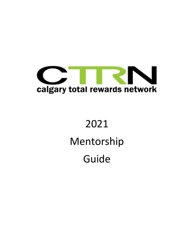

# 2021 Mentorship Guide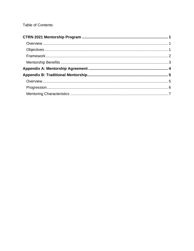# **Table of Contents**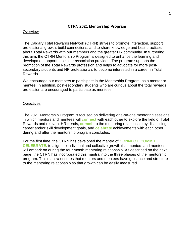#### **CTRN 2021 Mentorship Program**

#### <span id="page-2-1"></span><span id="page-2-0"></span>**Overview**

The Calgary Total Rewards Network (CTRN) strives to promote interaction, support professional growth, build connections, and to share knowledge and best practices about Total Rewards with our members and the greater HR community. In furthering this aim, the CTRN Mentorship Program is designed to enhance the learning and development opportunities our association provides. The program supports the promotion of the Total Rewards profession and helps to advocate for more postsecondary students and HR professionals to become interested in a career in Total Rewards.

We encourage our members to participate in the Mentorship Program, as a mentor or mentee. In addition, post-secondary students who are curious about the total rewards profession are encouraged to participate as mentees.

#### <span id="page-2-2"></span>**Objectives**

The 2021 Mentorship Program is focused on delivering one-on-one mentoring sessions in which mentors and mentees will **connect** with each other to explore the field of Total Rewards and relevant HR trends, **commit** to the mentoring relationship by discussing career and/or skill development goals, and **celebrate** achievements with each other during and after the mentorship program concludes.

For the first time, the CTRN has developed the mantra of **CONNECT. COMMIT. CELEBRATE.** to align the individual and collective growth that mentors and mentees will embark on during the four month mentoring relationship. As described on the next page, the CTRN has incorporated this mantra into the three phases of the mentorship program. This mantra ensures that mentors and mentees have guidance and structure to the mentoring relationship so that growth can be easily measured.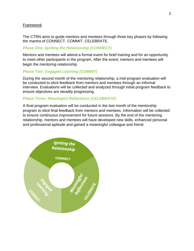## <span id="page-3-0"></span>Framework

The CTRN aims to guide mentors and mentees through three key phases by following the mantra of CONNECT. COMMIT. CELEBRATE.

## *Phase One: Igniting the Relationship (CONNECT)*

Mentors and mentees will attend a formal event for brief training and for an opportunity to meet other participants in the program. After the event, mentors and mentees will begin the mentoring relationship.

## *Phase Two: Engaged Learning (COMMIT)*

During the second month of the mentoring relationship, a mid-program evaluation will be conducted to elicit feedback from mentors and mentees through an informal interview. Evaluations will be collected and analyzed through initial program feedback to ensure objectives are steadily progressing.

## *Phase Three: Meaningful Reflections (CELEBRATE)*

A final program evaluation will be conducted in the last month of the mentorship program to elicit final feedback from mentors and mentees. Information will be collected to ensure continuous improvement for future sessions. By the end of the mentoring relationship, mentors and mentees will have developed new skills, enhanced personal and professional aptitude and gained a meaningful colleague and friend.

<span id="page-3-1"></span>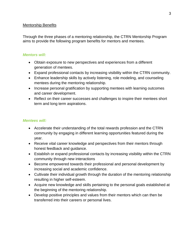## Mentorship Benefits

Through the three phases of a mentoring relationship, the CTRN Mentorship Program aims to provide the following program benefits for mentors and mentees.

## *Mentors will:*

- Obtain exposure to new perspectives and experiences from a different generation of mentees.
- Expand professional contacts by increasing visibility within the CTRN community.
- Enhance leadership skills by actively listening, role modeling, and counseling mentees during the mentoring relationship.
- Increase personal gratification by supporting mentees with learning outcomes and career development.
- Reflect on their career successes and challenges to inspire their mentees short term and long term aspirations.

## *Mentees will:*

- Accelerate their understanding of the total rewards profession and the CTRN community by engaging in different learning opportunities featured during the year.
- Receive vital career knowledge and perspectives from their mentors through honest feedback and guidance.
- Establish or expand professional contacts by increasing visibility within the CTRN community through new interactions
- Become empowered towards their professional and personal development by increasing social and academic confidence.
- Cultivate their individual growth through the duration of the mentoring relationship resulting in higher self-esteem.
- Acquire new knowledge and skills pertaining to the personal goals established at the beginning of the mentoring relationship.
- Develop positive principles and values from their mentors which can then be transferred into their careers or personal lives.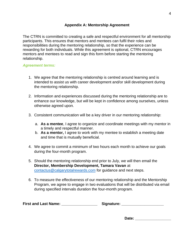## **Appendix A: Mentorship Agreement**

<span id="page-5-0"></span>The CTRN is committed to creating a safe and respectful environment for all mentorship participants. This ensures that mentors and mentees can fulfil their roles and responsibilities during the mentoring relationship, so that the experience can be rewarding for both individuals. While this agreement is optional, CTRN encourages mentors and mentees to read and sign this form before starting the mentoring relationship.

## *Agreement terms:*

- 1. We agree that the mentoring relationship is centred around learning and is intended to assist us with career development and/or skill development during the mentoring relationship.
- 2. Information and experiences discussed during the mentoring relationship are to enhance our knowledge, but will be kept in confidence among ourselves, unless otherwise agreed upon.
- 3. Consistent communication will be a key driver in our mentoring relationship:
	- a. **As a mentee**, I agree to organize and coordinate meetings with my mentor in a timely and respectful manner.
	- b. **As a mentor,** I agree to work with my mentee to establish a meeting date and time that is mutually beneficial.
- 4. We agree to commit a minimum of two hours each month to achieve our goals during the four-month program.
- 5. Should the mentoring relationship end prior to July, we will then email the **Director, Membership Development, Tamara Vavan** at [contactus@calgarytotalrewards.com](mailto:contactus@calgarytotalrewards.com) for guidance and next steps.
- 6. To measure the effectiveness of our mentoring relationship and the Mentorship Program, we agree to engage in two evaluations that will be distributed via email during specified intervals duration the four-month program.

| <b>First and Last Name:</b> | Signature: |
|-----------------------------|------------|
|-----------------------------|------------|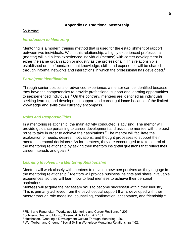## **Appendix B: Traditional Mentorship**

## <span id="page-6-1"></span><span id="page-6-0"></span>**Overview**

## *Introduction to Mentoring*

Mentoring is a modern training method that is used for the establishment of rapport between two individuals. Within this relationship, a highly experienced professional (mentor) will aid a less experienced individual (mentee) with career development in either the same organization or industry as the professional.<sup>1</sup> This relationship is established on the foundation that knowledge, skills and experience will be shared through informal networks and interactions in which the professional has developed.<sup>2</sup>

## *Participant Identification*

Through senior positions or advanced experience, a mentor can be identified because they have the competencies to provide professional support and learning opportunities to inexperienced individuals.<sup>2</sup> On the contrary, mentees are identified as individuals seeking learning and development support and career guidance because of the limited knowledge and skills they currently encompass.

## *Roles and Responsibilities*

In a mentoring relationship, the main activity conducted is advising. The mentor will provide guidance pertaining to career development and assist the mentee with the best route to take in order to achieve their aspirations.<sup>2</sup> The mentor will facilitate the exploration of needs, desires, motivations, and thought processes to support their mentees personal decisions.<sup>3</sup> As for mentees, they are encouraged to take control of the mentoring relationship by asking their mentors insightful questions that reflect their career interests and goals.<sup>3</sup>

#### *Learning Involved in a Mentoring Relationship*

Mentors will work closely with mentees to develop new perspectives as they engage in the mentoring relationship.<sup>3</sup> Mentors will provide business insights and share invaluable experiences, so they will learn how to lead mentees to achieve their personal aspirations.

Mentees will acquire the necessary skills to become successful within their industry. This is primarily achieved from the psychosocial support that is developed with their mentor through role modeling, counseling, confirmation, acceptance, and friendship.<sup>4</sup>

<sup>1</sup> Ridhi and Rangnekar, "Workplace Mentoring and Career Resilience," 205.

<sup>2</sup> Johnson, Geal and Munro, "Essential Skills for L&D," 31.

<sup>3</sup> Hutcheson, "Creating a Development Culture Through Mentoring," 26.

<sup>4</sup> Wu, Turban and Cheung, "Social Skill in Workplace Mentoring Relationships," 62.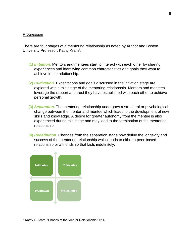#### <span id="page-7-0"></span>Progression

There are four stages of a mentoring relationship as noted by Author and Boston University Professor, Kathy Kram<sup>5</sup>:

- **(1)** *Initiation.* Mentors and mentees start to interact with each other by sharing experiences and identifying common characteristics and goals they want to achieve in the relationship.
- **(2)** *Cultivation.* Expectations and goals discussed in the initiation stage are explored within this stage of the mentoring relationship. Mentors and mentees leverage the rapport and trust they have established with each other to achieve personal growth.
- **(3)** *Separation.* The mentoring relationship undergoes a structural or psychological change between the mentor and mentee which leads to the development of new skills and knowledge. A desire for greater autonomy from the mentee is also experienced during this stage and may lead to the termination of the mentoring relationship.
- **(4)** *Redefinition.* Changes from the separation stage now define the longevity and success of the mentoring relationship which leads to either a peer-based relationship or a friendship that lasts indefinitely.



<sup>5</sup> Kathy E. Kram, "Phases of the Mentor Relationship," 614.